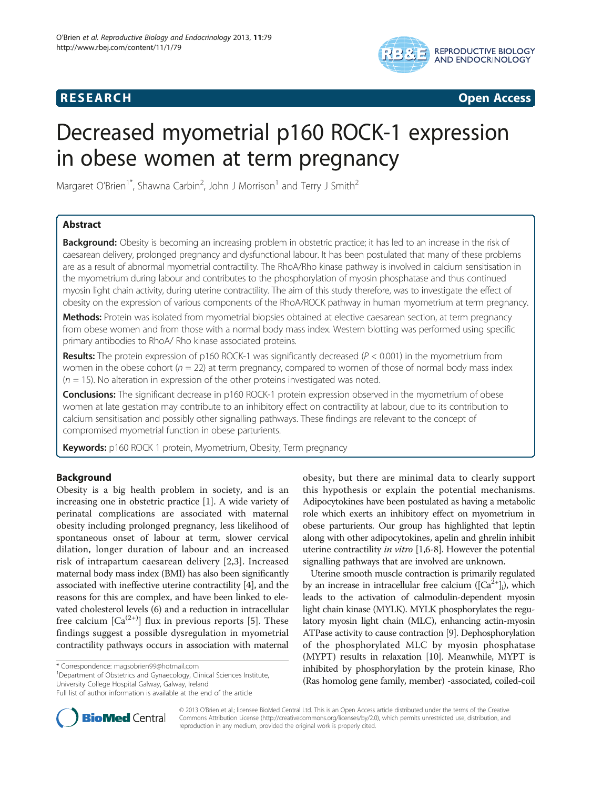# **RESEARCH RESEARCH CONSUMING ACCESS**



# Decreased myometrial p160 ROCK-1 expression in obese women at term pregnancy

Margaret O'Brien<sup>1\*</sup>, Shawna Carbin<sup>2</sup>, John J Morrison<sup>1</sup> and Terry J Smith<sup>2</sup>

# Abstract

Background: Obesity is becoming an increasing problem in obstetric practice; it has led to an increase in the risk of caesarean delivery, prolonged pregnancy and dysfunctional labour. It has been postulated that many of these problems are as a result of abnormal myometrial contractility. The RhoA/Rho kinase pathway is involved in calcium sensitisation in the myometrium during labour and contributes to the phosphorylation of myosin phosphatase and thus continued myosin light chain activity, during uterine contractility. The aim of this study therefore, was to investigate the effect of obesity on the expression of various components of the RhoA/ROCK pathway in human myometrium at term pregnancy.

Methods: Protein was isolated from myometrial biopsies obtained at elective caesarean section, at term pregnancy from obese women and from those with a normal body mass index. Western blotting was performed using specific primary antibodies to RhoA/ Rho kinase associated proteins.

**Results:** The protein expression of p160 ROCK-1 was significantly decreased ( $P < 0.001$ ) in the myometrium from women in the obese cohort ( $n = 22$ ) at term pregnancy, compared to women of those of normal body mass index  $(n = 15)$ . No alteration in expression of the other proteins investigated was noted.

**Conclusions:** The significant decrease in p160 ROCK-1 protein expression observed in the myometrium of obese women at late gestation may contribute to an inhibitory effect on contractility at labour, due to its contribution to calcium sensitisation and possibly other signalling pathways. These findings are relevant to the concept of compromised myometrial function in obese parturients.

Keywords: p160 ROCK 1 protein, Myometrium, Obesity, Term pregnancy

# Background

Obesity is a big health problem in society, and is an increasing one in obstetric practice [[1\]](#page-6-0). A wide variety of perinatal complications are associated with maternal obesity including prolonged pregnancy, less likelihood of spontaneous onset of labour at term, slower cervical dilation, longer duration of labour and an increased risk of intrapartum caesarean delivery [[2,3\]](#page-6-0). Increased maternal body mass index (BMI) has also been significantly associated with ineffective uterine contractility [[4\]](#page-6-0), and the reasons for this are complex, and have been linked to elevated cholesterol levels (6) and a reduction in intracellular free calcium  $[Ca^{(2+)}]$  flux in previous reports [[5\]](#page-6-0). These findings suggest a possible dysregulation in myometrial contractility pathways occurs in association with maternal

<sup>1</sup>Department of Obstetrics and Gynaecology, Clinical Sciences Institute, University College Hospital Galway, Galway, Ireland

obesity, but there are minimal data to clearly support this hypothesis or explain the potential mechanisms. Adipocytokines have been postulated as having a metabolic role which exerts an inhibitory effect on myometrium in obese parturients. Our group has highlighted that leptin along with other adipocytokines, apelin and ghrelin inhibit uterine contractility in vitro [\[1,6-8](#page-6-0)]. However the potential signalling pathways that are involved are unknown.

Uterine smooth muscle contraction is primarily regulated by an increase in intracellular free calcium  $([Ca<sup>2+</sup>]$ <sub>i</sub>), which leads to the activation of calmodulin-dependent myosin light chain kinase (MYLK). MYLK phosphorylates the regulatory myosin light chain (MLC), enhancing actin-myosin ATPase activity to cause contraction [[9](#page-6-0)]. Dephosphorylation of the phosphorylated MLC by myosin phosphatase (MYPT) results in relaxation [[10](#page-6-0)]. Meanwhile, MYPT is inhibited by phosphorylation by the protein kinase, Rho (Ras homolog gene family, member) -associated, coiled-coil



© 2013 O'Brien et al.; licensee BioMed Central Ltd. This is an Open Access article distributed under the terms of the Creative Commons Attribution License [\(http://creativecommons.org/licenses/by/2.0\)](http://creativecommons.org/licenses/by/2.0), which permits unrestricted use, distribution, and reproduction in any medium, provided the original work is properly cited.

<sup>\*</sup> Correspondence: [magsobrien99@hotmail.com](mailto:magsobrien99@hotmail.com) <sup>1</sup>

Full list of author information is available at the end of the article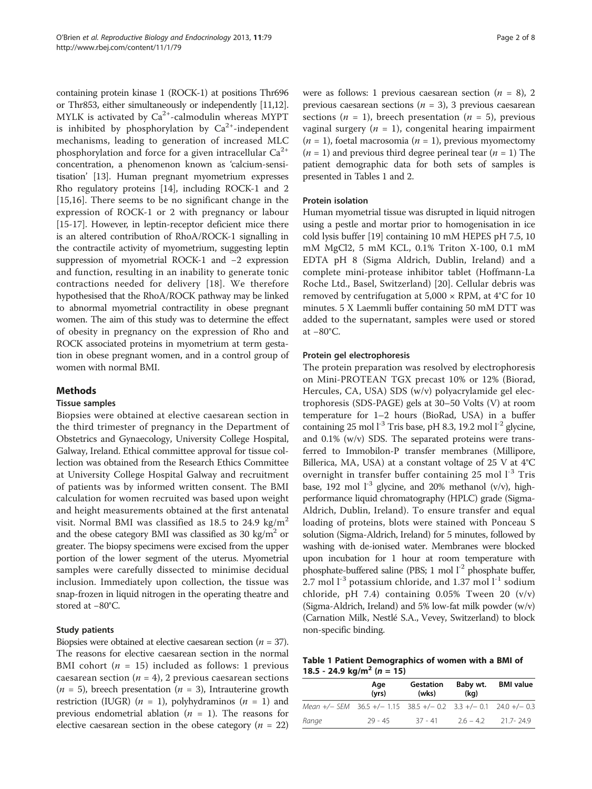<span id="page-1-0"></span>containing protein kinase 1 (ROCK-1) at positions Thr696 or Thr853, either simultaneously or independently [[11,12](#page-6-0)]. MYLK is activated by  $Ca<sup>2+</sup>$ -calmodulin whereas MYPT is inhibited by phosphorylation by  $Ca^{2+}$ -independent mechanisms, leading to generation of increased MLC phosphorylation and force for a given intracellular  $Ca^{2+}$ concentration, a phenomenon known as 'calcium-sensitisation' [[13](#page-7-0)]. Human pregnant myometrium expresses Rho regulatory proteins [\[14\]](#page-7-0), including ROCK-1 and 2 [[15,16](#page-7-0)]. There seems to be no significant change in the expression of ROCK-1 or 2 with pregnancy or labour [[15](#page-7-0)-[17\]](#page-7-0). However, in leptin-receptor deficient mice there is an altered contribution of RhoA/ROCK-1 signalling in the contractile activity of myometrium, suggesting leptin suppression of myometrial ROCK-1 and −2 expression and function, resulting in an inability to generate tonic contractions needed for delivery [[18\]](#page-7-0). We therefore hypothesised that the RhoA/ROCK pathway may be linked to abnormal myometrial contractility in obese pregnant women. The aim of this study was to determine the effect of obesity in pregnancy on the expression of Rho and ROCK associated proteins in myometrium at term gestation in obese pregnant women, and in a control group of women with normal BMI.

# Methods

#### Tissue samples

Biopsies were obtained at elective caesarean section in the third trimester of pregnancy in the Department of Obstetrics and Gynaecology, University College Hospital, Galway, Ireland. Ethical committee approval for tissue collection was obtained from the Research Ethics Committee at University College Hospital Galway and recruitment of patients was by informed written consent. The BMI calculation for women recruited was based upon weight and height measurements obtained at the first antenatal visit. Normal BMI was classified as  $18.5$  to  $24.9 \text{ kg/m}^2$ and the obese category BMI was classified as 30 kg/ $m<sup>2</sup>$  or greater. The biopsy specimens were excised from the upper portion of the lower segment of the uterus. Myometrial samples were carefully dissected to minimise decidual inclusion. Immediately upon collection, the tissue was snap-frozen in liquid nitrogen in the operating theatre and stored at −80°C.

### Study patients

Biopsies were obtained at elective caesarean section ( $n = 37$ ). The reasons for elective caesarean section in the normal BMI cohort ( $n = 15$ ) included as follows: 1 previous caesarean section ( $n = 4$ ), 2 previous caesarean sections  $(n = 5)$ , breech presentation  $(n = 3)$ , Intrauterine growth restriction (IUGR) ( $n = 1$ ), polyhydraminos ( $n = 1$ ) and previous endometrial ablation ( $n = 1$ ). The reasons for elective caesarean section in the obese category ( $n = 22$ ) were as follows: 1 previous caesarean section ( $n = 8$ ), 2 previous caesarean sections ( $n = 3$ ), 3 previous caesarean sections ( $n = 1$ ), breech presentation ( $n = 5$ ), previous vaginal surgery ( $n = 1$ ), congenital hearing impairment  $(n = 1)$ , foetal macrosomia  $(n = 1)$ , previous myomectomy  $(n = 1)$  and previous third degree perineal tear  $(n = 1)$  The patient demographic data for both sets of samples is presented in Tables 1 and [2](#page-2-0).

#### Protein isolation

Human myometrial tissue was disrupted in liquid nitrogen using a pestle and mortar prior to homogenisation in ice cold lysis buffer [\[19\]](#page-7-0) containing 10 mM HEPES pH 7.5, 10 mM MgCl2, 5 mM KCL, 0.1% Triton X-100, 0.1 mM EDTA pH 8 (Sigma Aldrich, Dublin, Ireland) and a complete mini-protease inhibitor tablet (Hoffmann-La Roche Ltd., Basel, Switzerland) [\[20](#page-7-0)]. Cellular debris was removed by centrifugation at  $5,000 \times$  RPM, at 4°C for 10 minutes. 5 X Laemmli buffer containing 50 mM DTT was added to the supernatant, samples were used or stored at −80°C.

#### Protein gel electrophoresis

The protein preparation was resolved by electrophoresis on Mini-PROTEAN TGX precast 10% or 12% (Biorad, Hercules, CA, USA) SDS (w/v) polyacrylamide gel electrophoresis (SDS-PAGE) gels at 30–50 Volts (V) at room temperature for 1–2 hours (BioRad, USA) in a buffer containing 25 mol  $l^{-3}$  Tris base, pH 8.3, 19.2 mol  $l^{-2}$  glycine, and 0.1% (w/v) SDS. The separated proteins were transferred to Immobilon-P transfer membranes (Millipore, Billerica, MA, USA) at a constant voltage of 25 V at 4°C overnight in transfer buffer containing  $25$  mol  $1<sup>-3</sup>$  Tris base, 192 mol  $1^{-3}$  glycine, and 20% methanol (v/v), highperformance liquid chromatography (HPLC) grade (Sigma-Aldrich, Dublin, Ireland). To ensure transfer and equal loading of proteins, blots were stained with Ponceau S solution (Sigma-Aldrich, Ireland) for 5 minutes, followed by washing with de-ionised water. Membranes were blocked upon incubation for 1 hour at room temperature with phosphate-buffered saline (PBS; 1 mol  $1^{-2}$  phosphate buffer, 2.7 mol  $1<sup>-3</sup>$  potassium chloride, and 1.37 mol  $1<sup>-1</sup>$  sodium chloride, pH 7.4) containing 0.05% Tween 20 (v/v) (Sigma-Aldrich, Ireland) and 5% low-fat milk powder (w/v) (Carnation Milk, Nestlé S.A., Vevey, Switzerland) to block non-specific binding.

Table 1 Patient Demographics of women with a BMI of 18.5 - 24.9 kg/m<sup>2</sup> (n = 15)

|                                                                            | Age<br>(vrs) | Gestation<br>(wks) | Baby wt.<br>(kg) | <b>BMI</b> value |
|----------------------------------------------------------------------------|--------------|--------------------|------------------|------------------|
| Mean $+/-$ SEM 36.5 $+/-$ 1.15 38.5 $+/-$ 0.2 3.3 $+/-$ 0.1 24.0 $+/-$ 0.3 |              |                    |                  |                  |
| Range                                                                      | 29 - 45      | $-37 - 41$         | $26 - 42$        | 217-249          |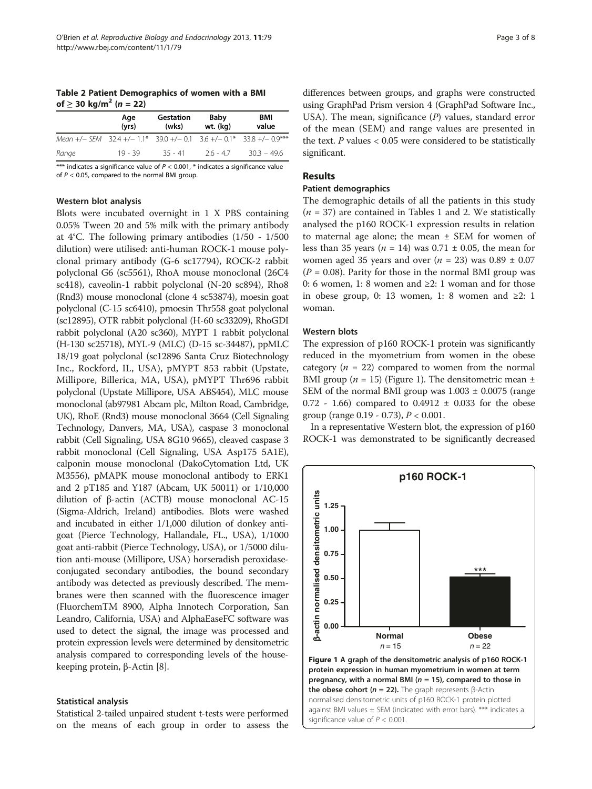<span id="page-2-0"></span>Table 2 Patient Demographics of women with a BMI of ≥ 30 kg/m<sup>2</sup> (*n* = 22)

|                                                                      | Age<br>(vrs) | Gestation<br>(wks) | Baby<br>wt. (kg) | BMI<br>value |
|----------------------------------------------------------------------|--------------|--------------------|------------------|--------------|
| Mean +/- SEM 32.4 +/- 1.1* 39.0 +/- 0.1 3.6 +/- 0.1* 33.8 +/- 0.9*** |              |                    |                  |              |
| Range                                                                | $19 - 39$    | $35 - 41$          | $26 - 47$        | $303 - 496$  |

\*\*\* indicates a significance value of  $P < 0.001$ , \* indicates a significance value of  $P < 0.05$ , compared to the normal BMI group.

#### Western blot analysis

Blots were incubated overnight in 1 X PBS containing 0.05% Tween 20 and 5% milk with the primary antibody at 4°C. The following primary antibodies (1/50 - 1/500 dilution) were utilised: anti-human ROCK-1 mouse polyclonal primary antibody (G-6 sc17794), ROCK-2 rabbit polyclonal G6 (sc5561), RhoA mouse monoclonal (26C4 sc418), caveolin-1 rabbit polyclonal (N-20 sc894), Rho8 (Rnd3) mouse monoclonal (clone 4 sc53874), moesin goat polyclonal (C-15 sc6410), pmoesin Thr558 goat polyclonal (sc12895), OTR rabbit polyclonal (H-60 sc33209), RhoGDI rabbit polyclonal (A20 sc360), MYPT 1 rabbit polyclonal (H-130 sc25718), MYL-9 (MLC) (D-15 sc-34487), ppMLC 18/19 goat polyclonal (sc12896 Santa Cruz Biotechnology Inc., Rockford, IL, USA), pMYPT 853 rabbit (Upstate, Millipore, Billerica, MA, USA), pMYPT Thr696 rabbit polyclonal (Upstate Millipore, USA ABS454), MLC mouse monoclonal (ab97981 Abcam plc, Milton Road, Cambridge, UK), RhoE (Rnd3) mouse monoclonal 3664 (Cell Signaling Technology, Danvers, MA, USA), caspase 3 monoclonal rabbit (Cell Signaling, USA 8G10 9665), cleaved caspase 3 rabbit monoclonal (Cell Signaling, USA Asp175 5A1E), calponin mouse monoclonal (DakoCytomation Ltd, UK M3556), pMAPK mouse monoclonal antibody to ERK1 and 2 pT185 and Y187 (Abcam, UK 50011) or 1/10,000 dilution of β-actin (ACTB) mouse monoclonal AC-15 (Sigma-Aldrich, Ireland) antibodies. Blots were washed and incubated in either 1/1,000 dilution of donkey antigoat (Pierce Technology, Hallandale, FL., USA), 1/1000 goat anti-rabbit (Pierce Technology, USA), or 1/5000 dilution anti-mouse (Millipore, USA) horseradish peroxidaseconjugated secondary antibodies, the bound secondary antibody was detected as previously described. The membranes were then scanned with the fluorescence imager (FluorchemTM 8900, Alpha Innotech Corporation, San Leandro, California, USA) and AlphaEaseFC software was used to detect the signal, the image was processed and protein expression levels were determined by densitometric analysis compared to corresponding levels of the housekeeping protein, β-Actin [\[8\]](#page-6-0).

#### Statistical analysis

Statistical 2-tailed unpaired student t-tests were performed on the means of each group in order to assess the differences between groups, and graphs were constructed using GraphPad Prism version 4 (GraphPad Software Inc., USA). The mean, significance  $(P)$  values, standard error of the mean (SEM) and range values are presented in the text.  $P$  values  $< 0.05$  were considered to be statistically significant.

# Results

#### Patient demographics

The demographic details of all the patients in this study  $(n = 37)$  are contained in Tables [1](#page-1-0) and 2. We statistically analysed the p160 ROCK-1 expression results in relation to maternal age alone; the mean  $\pm$  SEM for women of less than 35 years ( $n = 14$ ) was 0.71  $\pm$  0.05, the mean for women aged 35 years and over  $(n = 23)$  was  $0.89 \pm 0.07$  $(P = 0.08)$ . Parity for those in the normal BMI group was 0: 6 women, 1: 8 women and  $\geq$ 2: 1 woman and for those in obese group, 0: 13 women, 1: 8 women and ≥2: 1 woman.

#### Western blots

The expression of p160 ROCK-1 protein was significantly reduced in the myometrium from women in the obese category ( $n = 22$ ) compared to women from the normal BMI group ( $n = 15$ ) (Figure 1). The densitometric mean  $\pm$ SEM of the normal BMI group was  $1.003 \pm 0.0075$  (range 0.72 - 1.66) compared to 0.4912 ± 0.033 for the obese group (range  $0.19 - 0.73$ ),  $P < 0.001$ .

In a representative Western blot, the expression of p160 ROCK-1 was demonstrated to be significantly decreased

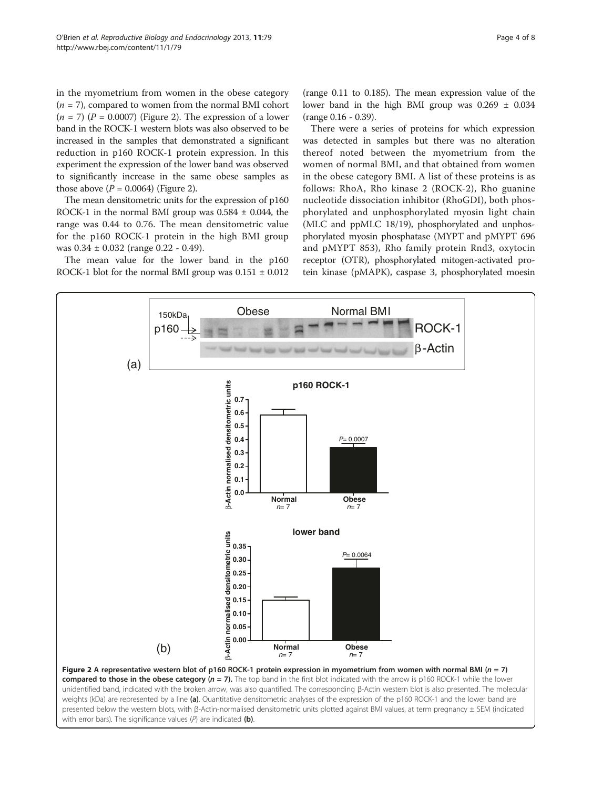in the myometrium from women in the obese category  $(n = 7)$ , compared to women from the normal BMI cohort  $(n = 7)$   $(P = 0.0007)$  (Figure 2). The expression of a lower band in the ROCK-1 western blots was also observed to be increased in the samples that demonstrated a significant reduction in p160 ROCK-1 protein expression. In this experiment the expression of the lower band was observed to significantly increase in the same obese samples as those above  $(P = 0.0064)$  (Figure 2).

The mean densitometric units for the expression of p160 ROCK-1 in the normal BMI group was  $0.584 \pm 0.044$ , the range was 0.44 to 0.76. The mean densitometric value for the p160 ROCK-1 protein in the high BMI group was 0.34 ± 0.032 (range 0.22 - 0.49).

The mean value for the lower band in the p160 ROCK-1 blot for the normal BMI group was  $0.151 \pm 0.012$  (range 0.11 to 0.185). The mean expression value of the lower band in the high BMI group was  $0.269 \pm 0.034$ (range 0.16 - 0.39).

There were a series of proteins for which expression was detected in samples but there was no alteration thereof noted between the myometrium from the women of normal BMI, and that obtained from women in the obese category BMI. A list of these proteins is as follows: RhoA, Rho kinase 2 (ROCK-2), Rho guanine nucleotide dissociation inhibitor (RhoGDI), both phosphorylated and unphosphorylated myosin light chain (MLC and ppMLC 18/19), phosphorylated and unphosphorylated myosin phosphatase (MYPT and pMYPT 696 and pMYPT 853), Rho family protein Rnd3, oxytocin receptor (OTR), phosphorylated mitogen-activated protein kinase (pMAPK), caspase 3, phosphorylated moesin

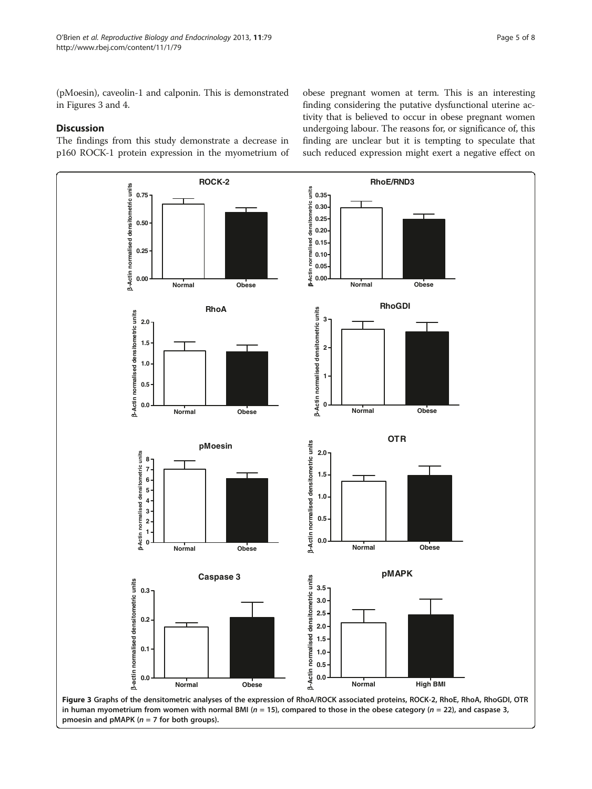(pMoesin), caveolin-1 and calponin. This is demonstrated in Figures 3 and [4](#page-5-0).

# **Discussion**

The findings from this study demonstrate a decrease in p160 ROCK-1 protein expression in the myometrium of

obese pregnant women at term. This is an interesting finding considering the putative dysfunctional uterine activity that is believed to occur in obese pregnant women undergoing labour. The reasons for, or significance of, this finding are unclear but it is tempting to speculate that such reduced expression might exert a negative effect on

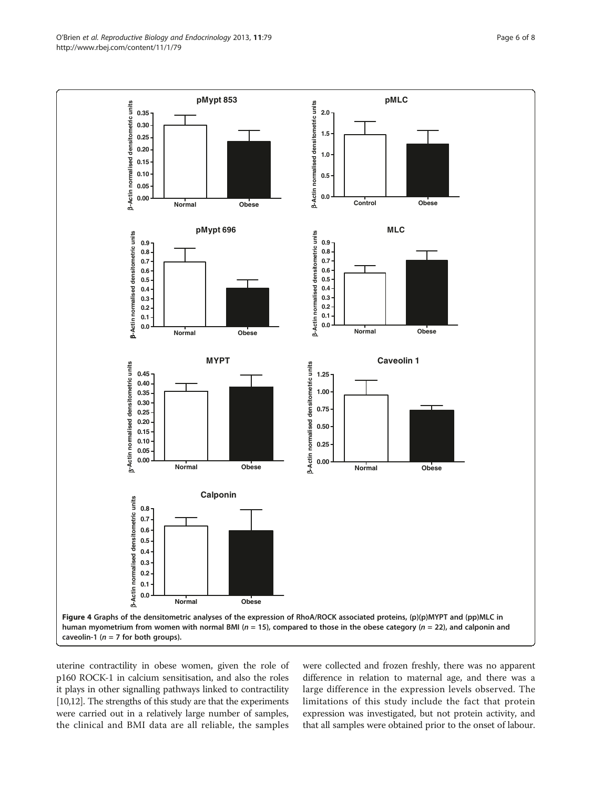<span id="page-5-0"></span>

uterine contractility in obese women, given the role of p160 ROCK-1 in calcium sensitisation, and also the roles it plays in other signalling pathways linked to contractility [[10,12\]](#page-6-0). The strengths of this study are that the experiments were carried out in a relatively large number of samples, the clinical and BMI data are all reliable, the samples

were collected and frozen freshly, there was no apparent difference in relation to maternal age, and there was a large difference in the expression levels observed. The limitations of this study include the fact that protein expression was investigated, but not protein activity, and that all samples were obtained prior to the onset of labour.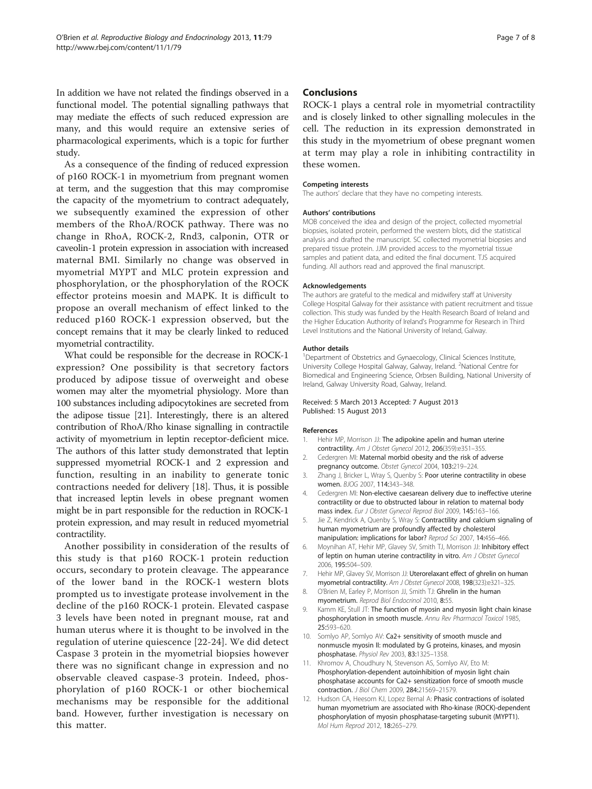<span id="page-6-0"></span>In addition we have not related the findings observed in a functional model. The potential signalling pathways that may mediate the effects of such reduced expression are many, and this would require an extensive series of pharmacological experiments, which is a topic for further study.

As a consequence of the finding of reduced expression of p160 ROCK-1 in myometrium from pregnant women at term, and the suggestion that this may compromise the capacity of the myometrium to contract adequately, we subsequently examined the expression of other members of the RhoA/ROCK pathway. There was no change in RhoA, ROCK-2, Rnd3, calponin, OTR or caveolin-1 protein expression in association with increased maternal BMI. Similarly no change was observed in myometrial MYPT and MLC protein expression and phosphorylation, or the phosphorylation of the ROCK effector proteins moesin and MAPK. It is difficult to propose an overall mechanism of effect linked to the reduced p160 ROCK-1 expression observed, but the concept remains that it may be clearly linked to reduced myometrial contractility.

What could be responsible for the decrease in ROCK-1 expression? One possibility is that secretory factors produced by adipose tissue of overweight and obese women may alter the myometrial physiology. More than 100 substances including adipocytokines are secreted from the adipose tissue [\[21\]](#page-7-0). Interestingly, there is an altered contribution of RhoA/Rho kinase signalling in contractile activity of myometrium in leptin receptor-deficient mice. The authors of this latter study demonstrated that leptin suppressed myometrial ROCK-1 and 2 expression and function, resulting in an inability to generate tonic contractions needed for delivery [\[18](#page-7-0)]. Thus, it is possible that increased leptin levels in obese pregnant women might be in part responsible for the reduction in ROCK-1 protein expression, and may result in reduced myometrial contractility.

Another possibility in consideration of the results of this study is that p160 ROCK-1 protein reduction occurs, secondary to protein cleavage. The appearance of the lower band in the ROCK-1 western blots prompted us to investigate protease involvement in the decline of the p160 ROCK-1 protein. Elevated caspase 3 levels have been noted in pregnant mouse, rat and human uterus where it is thought to be involved in the regulation of uterine quiescence [[22-24\]](#page-7-0). We did detect Caspase 3 protein in the myometrial biopsies however there was no significant change in expression and no observable cleaved caspase-3 protein. Indeed, phosphorylation of p160 ROCK-1 or other biochemical mechanisms may be responsible for the additional band. However, further investigation is necessary on this matter.

## Conclusions

ROCK-1 plays a central role in myometrial contractility and is closely linked to other signalling molecules in the cell. The reduction in its expression demonstrated in this study in the myometrium of obese pregnant women at term may play a role in inhibiting contractility in these women.

#### Competing interests

The authors' declare that they have no competing interests.

#### Authors' contributions

MOB conceived the idea and design of the project, collected myometrial biopsies, isolated protein, performed the western blots, did the statistical analysis and drafted the manuscript. SC collected myometrial biopsies and prepared tissue protein. JJM provided access to the myometrial tissue samples and patient data, and edited the final document. TJS acquired funding. All authors read and approved the final manuscript.

#### Acknowledgements

The authors are grateful to the medical and midwifery staff at University College Hospital Galway for their assistance with patient recruitment and tissue collection. This study was funded by the Health Research Board of Ireland and the Higher Education Authority of Ireland's Programme for Research in Third Level Institutions and the National University of Ireland, Galway.

#### Author details

<sup>1</sup>Department of Obstetrics and Gynaecology, Clinical Sciences Institute, University College Hospital Galway, Galway, Ireland. <sup>2</sup>National Centre for Biomedical and Engineering Science, Orbsen Building, National University of Ireland, Galway University Road, Galway, Ireland.

#### Received: 5 March 2013 Accepted: 7 August 2013 Published: 15 August 2013

#### References

- 1. Hehir MP, Morrison JJ: The adipokine apelin and human uterine contractility. Am J Obstet Gynecol 2012, 206(359):e351–355.
- 2. Cedergren MI: Maternal morbid obesity and the risk of adverse pregnancy outcome. Obstet Gynecol 2004, 103:219–224.
- 3. Zhang J, Bricker L, Wray S, Quenby S: Poor uterine contractility in obese women. BJOG 2007, 114:343–348.
- 4. Cedergren MI: Non-elective caesarean delivery due to ineffective uterine contractility or due to obstructed labour in relation to maternal body mass index. Eur J Obstet Gynecol Reprod Biol 2009, 145:163–166.
- 5. Jie Z, Kendrick A, Quenby S, Wray S: Contractility and calcium signaling of human myometrium are profoundly affected by cholesterol manipulation: implications for labor? Reprod Sci 2007, 14:456–466.
- 6. Moynihan AT, Hehir MP, Glavey SV, Smith TJ, Morrison JJ: Inhibitory effect of leptin on human uterine contractility in vitro. Am J Obstet Gynecol 2006, 195:504–509.
- 7. Hehir MP, Glavey SV, Morrison JJ: Uterorelaxant effect of ghrelin on human myometrial contractility. Am J Obstet Gynecol 2008, 198(323):e321–325.
- 8. O'Brien M, Earley P, Morrison JJ, Smith TJ: Ghrelin in the human myometrium. Reprod Biol Endocrinol 2010, 8:55.
- 9. Kamm KE, Stull JT: The function of myosin and myosin light chain kinase phosphorylation in smooth muscle. Annu Rev Pharmacol Toxicol 1985, 25:593–620.
- 10. Somlyo AP, Somlyo AV: Ca2+ sensitivity of smooth muscle and nonmuscle myosin II: modulated by G proteins, kinases, and myosin phosphatase. Physiol Rev 2003, 83:1325–1358.
- 11. Khromov A, Choudhury N, Stevenson AS, Somlyo AV, Eto M: Phosphorylation-dependent autoinhibition of myosin light chain phosphatase accounts for Ca2+ sensitization force of smooth muscle contraction. J Biol Chem 2009, 284:21569–21579.
- 12. Hudson CA, Heesom KJ, Lopez Bernal A: Phasic contractions of isolated human myometrium are associated with Rho-kinase (ROCK)-dependent phosphorylation of myosin phosphatase-targeting subunit (MYPT1). Mol Hum Reprod 2012, 18:265–279.